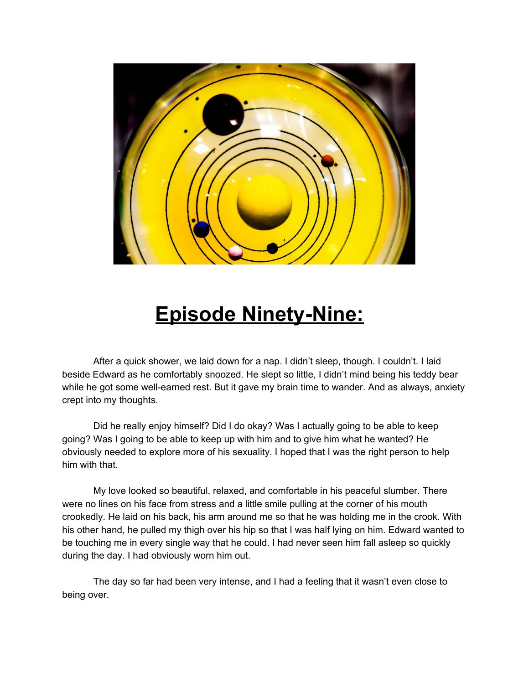

## **Episode Ninety-Nine:**

After a quick shower, we laid down for a nap. I didn't sleep, though. I couldn't. I laid beside Edward as he comfortably snoozed. He slept so little, I didn't mind being his teddy bear while he got some well-earned rest. But it gave my brain time to wander. And as always, anxiety crept into my thoughts.

Did he really enjoy himself? Did I do okay? Was I actually going to be able to keep going? Was I going to be able to keep up with him and to give him what he wanted? He obviously needed to explore more of his sexuality. I hoped that I was the right person to help him with that.

My love looked so beautiful, relaxed, and comfortable in his peaceful slumber. There were no lines on his face from stress and a little smile pulling at the corner of his mouth crookedly. He laid on his back, his arm around me so that he was holding me in the crook. With his other hand, he pulled my thigh over his hip so that I was half lying on him. Edward wanted to be touching me in every single way that he could. I had never seen him fall asleep so quickly during the day. I had obviously worn him out.

The day so far had been very intense, and I had a feeling that it wasn't even close to being over.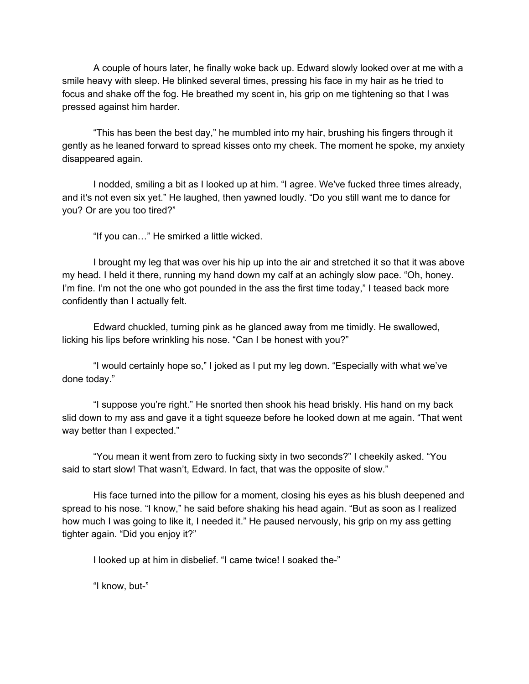A couple of hours later, he finally woke back up. Edward slowly looked over at me with a smile heavy with sleep. He blinked several times, pressing his face in my hair as he tried to focus and shake off the fog. He breathed my scent in, his grip on me tightening so that I was pressed against him harder.

"This has been the best day," he mumbled into my hair, brushing his fingers through it gently as he leaned forward to spread kisses onto my cheek. The moment he spoke, my anxiety disappeared again.

I nodded, smiling a bit as I looked up at him. "I agree. We've fucked three times already, and it's not even six yet." He laughed, then yawned loudly. "Do you still want me to dance for you? Or are you too tired?"

"If you can…" He smirked a little wicked.

I brought my leg that was over his hip up into the air and stretched it so that it was above my head. I held it there, running my hand down my calf at an achingly slow pace. "Oh, honey. I'm fine. I'm not the one who got pounded in the ass the first time today," I teased back more confidently than I actually felt.

Edward chuckled, turning pink as he glanced away from me timidly. He swallowed, licking his lips before wrinkling his nose. "Can I be honest with you?"

"I would certainly hope so," I joked as I put my leg down. "Especially with what we've done today."

"I suppose you're right." He snorted then shook his head briskly. His hand on my back slid down to my ass and gave it a tight squeeze before he looked down at me again. "That went way better than I expected."

"You mean it went from zero to fucking sixty in two seconds?" I cheekily asked. "You said to start slow! That wasn't, Edward. In fact, that was the opposite of slow."

His face turned into the pillow for a moment, closing his eyes as his blush deepened and spread to his nose. "I know," he said before shaking his head again. "But as soon as I realized how much I was going to like it, I needed it." He paused nervously, his grip on my ass getting tighter again. "Did you enjoy it?"

I looked up at him in disbelief. "I came twice! I soaked the-"

"I know, but-"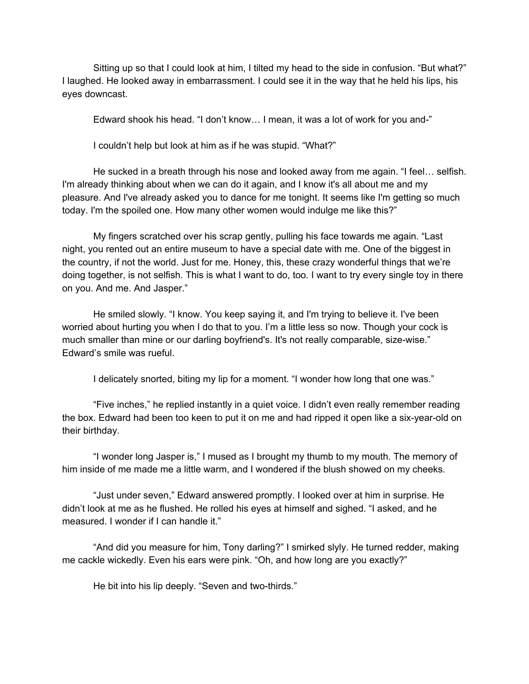Sitting up so that I could look at him, I tilted my head to the side in confusion. "But what?" I laughed. He looked away in embarrassment. I could see it in the way that he held his lips, his eyes downcast.

Edward shook his head. "I don't know… I mean, it was a lot of work for you and-"

I couldn't help but look at him as if he was stupid. "What?"

He sucked in a breath through his nose and looked away from me again. "I feel… selfish. I'm already thinking about when we can do it again, and I know it's all about me and my pleasure. And I've already asked you to dance for me tonight. It seems like I'm getting so much today. I'm the spoiled one. How many other women would indulge me like this?"

My fingers scratched over his scrap gently, pulling his face towards me again. "Last night, you rented out an entire museum to have a special date with me. One of the biggest in the country, if not the world. Just for me. Honey, this, these crazy wonderful things that we're doing together, is not selfish. This is what I want to do, too. I want to try every single toy in there on you. And me. And Jasper."

He smiled slowly. "I know. You keep saying it, and I'm trying to believe it. I've been worried about hurting you when I do that to you. I'm a little less so now. Though your cock is much smaller than mine or our darling boyfriend's. It's not really comparable, size-wise." Edward's smile was rueful.

I delicately snorted, biting my lip for a moment. "I wonder how long that one was."

"Five inches," he replied instantly in a quiet voice. I didn't even really remember reading the box. Edward had been too keen to put it on me and had ripped it open like a six-year-old on their birthday.

"I wonder long Jasper is," I mused as I brought my thumb to my mouth. The memory of him inside of me made me a little warm, and I wondered if the blush showed on my cheeks.

"Just under seven," Edward answered promptly. I looked over at him in surprise. He didn't look at me as he flushed. He rolled his eyes at himself and sighed. "I asked, and he measured. I wonder if I can handle it."

"And did you measure for him, Tony darling?" I smirked slyly. He turned redder, making me cackle wickedly. Even his ears were pink. "Oh, and how long are you exactly?"

He bit into his lip deeply. "Seven and two-thirds."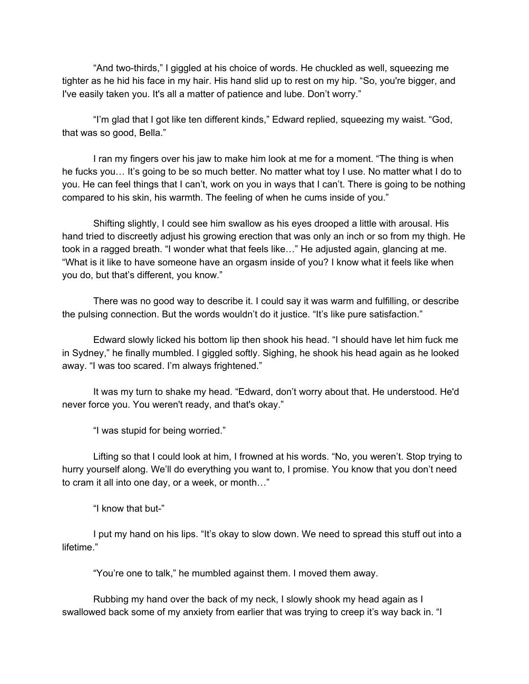"And two-thirds," I giggled at his choice of words. He chuckled as well, squeezing me tighter as he hid his face in my hair. His hand slid up to rest on my hip. "So, you're bigger, and I've easily taken you. It's all a matter of patience and lube. Don't worry."

"I'm glad that I got like ten different kinds," Edward replied, squeezing my waist. "God, that was so good, Bella."

I ran my fingers over his jaw to make him look at me for a moment. "The thing is when he fucks you… It's going to be so much better. No matter what toy I use. No matter what I do to you. He can feel things that I can't, work on you in ways that I can't. There is going to be nothing compared to his skin, his warmth. The feeling of when he cums inside of you."

Shifting slightly, I could see him swallow as his eyes drooped a little with arousal. His hand tried to discreetly adjust his growing erection that was only an inch or so from my thigh. He took in a ragged breath. "I wonder what that feels like…" He adjusted again, glancing at me. "What is it like to have someone have an orgasm inside of you? I know what it feels like when you do, but that's different, you know."

There was no good way to describe it. I could say it was warm and fulfilling, or describe the pulsing connection. But the words wouldn't do it justice. "It's like pure satisfaction."

Edward slowly licked his bottom lip then shook his head. "I should have let him fuck me in Sydney," he finally mumbled. I giggled softly. Sighing, he shook his head again as he looked away. "I was too scared. I'm always frightened."

It was my turn to shake my head. "Edward, don't worry about that. He understood. He'd never force you. You weren't ready, and that's okay."

"I was stupid for being worried."

Lifting so that I could look at him, I frowned at his words. "No, you weren't. Stop trying to hurry yourself along. We'll do everything you want to, I promise. You know that you don't need to cram it all into one day, or a week, or month…"

"I know that but-"

I put my hand on his lips. "It's okay to slow down. We need to spread this stuff out into a lifetime."

"You're one to talk," he mumbled against them. I moved them away.

Rubbing my hand over the back of my neck, I slowly shook my head again as I swallowed back some of my anxiety from earlier that was trying to creep it's way back in. "I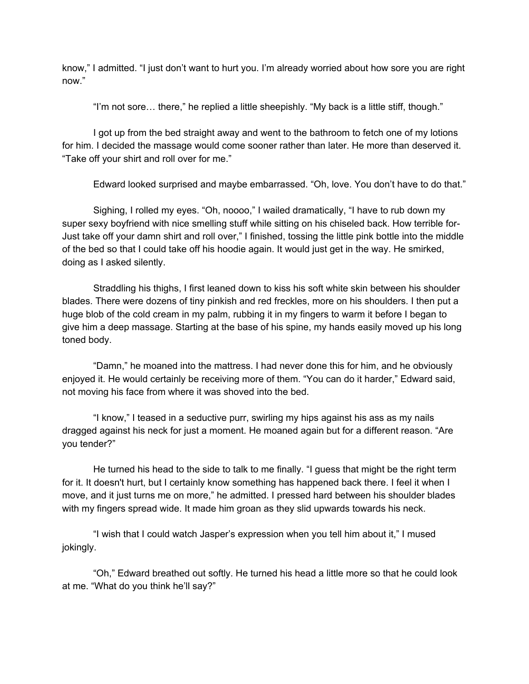know," I admitted. "I just don't want to hurt you. I'm already worried about how sore you are right now."

"I'm not sore… there," he replied a little sheepishly. "My back is a little stiff, though."

I got up from the bed straight away and went to the bathroom to fetch one of my lotions for him. I decided the massage would come sooner rather than later. He more than deserved it. "Take off your shirt and roll over for me."

Edward looked surprised and maybe embarrassed. "Oh, love. You don't have to do that."

Sighing, I rolled my eyes. "Oh, noooo," I wailed dramatically, "I have to rub down my super sexy boyfriend with nice smelling stuff while sitting on his chiseled back. How terrible for-Just take off your damn shirt and roll over," I finished, tossing the little pink bottle into the middle of the bed so that I could take off his hoodie again. It would just get in the way. He smirked, doing as I asked silently.

Straddling his thighs, I first leaned down to kiss his soft white skin between his shoulder blades. There were dozens of tiny pinkish and red freckles, more on his shoulders. I then put a huge blob of the cold cream in my palm, rubbing it in my fingers to warm it before I began to give him a deep massage. Starting at the base of his spine, my hands easily moved up his long toned body.

"Damn," he moaned into the mattress. I had never done this for him, and he obviously enjoyed it. He would certainly be receiving more of them. "You can do it harder," Edward said, not moving his face from where it was shoved into the bed.

"I know," I teased in a seductive purr, swirling my hips against his ass as my nails dragged against his neck for just a moment. He moaned again but for a different reason. "Are you tender?"

He turned his head to the side to talk to me finally. "I guess that might be the right term for it. It doesn't hurt, but I certainly know something has happened back there. I feel it when I move, and it just turns me on more," he admitted. I pressed hard between his shoulder blades with my fingers spread wide. It made him groan as they slid upwards towards his neck.

"I wish that I could watch Jasper's expression when you tell him about it," I mused jokingly.

"Oh," Edward breathed out softly. He turned his head a little more so that he could look at me. "What do you think he'll say?"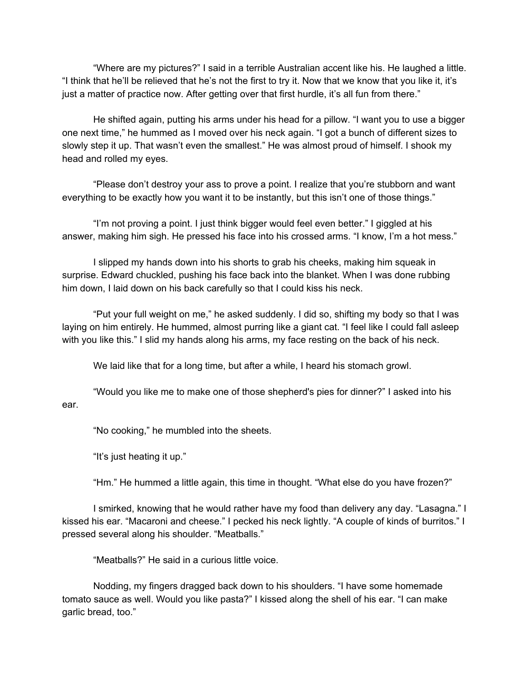"Where are my pictures?" I said in a terrible Australian accent like his. He laughed a little. "I think that he'll be relieved that he's not the first to try it. Now that we know that you like it, it's just a matter of practice now. After getting over that first hurdle, it's all fun from there."

He shifted again, putting his arms under his head for a pillow. "I want you to use a bigger one next time," he hummed as I moved over his neck again. "I got a bunch of different sizes to slowly step it up. That wasn't even the smallest." He was almost proud of himself. I shook my head and rolled my eyes.

"Please don't destroy your ass to prove a point. I realize that you're stubborn and want everything to be exactly how you want it to be instantly, but this isn't one of those things."

"I'm not proving a point. I just think bigger would feel even better." I giggled at his answer, making him sigh. He pressed his face into his crossed arms. "I know, I'm a hot mess."

I slipped my hands down into his shorts to grab his cheeks, making him squeak in surprise. Edward chuckled, pushing his face back into the blanket. When I was done rubbing him down, I laid down on his back carefully so that I could kiss his neck.

"Put your full weight on me," he asked suddenly. I did so, shifting my body so that I was laying on him entirely. He hummed, almost purring like a giant cat. "I feel like I could fall asleep with you like this." I slid my hands along his arms, my face resting on the back of his neck.

We laid like that for a long time, but after a while, I heard his stomach growl.

"Would you like me to make one of those shepherd's pies for dinner?" I asked into his ear.

"No cooking," he mumbled into the sheets.

"It's just heating it up."

"Hm." He hummed a little again, this time in thought. "What else do you have frozen?"

I smirked, knowing that he would rather have my food than delivery any day. "Lasagna." I kissed his ear. "Macaroni and cheese." I pecked his neck lightly. "A couple of kinds of burritos." I pressed several along his shoulder. "Meatballs."

"Meatballs?" He said in a curious little voice.

Nodding, my fingers dragged back down to his shoulders. "I have some homemade tomato sauce as well. Would you like pasta?" I kissed along the shell of his ear. "I can make garlic bread, too."